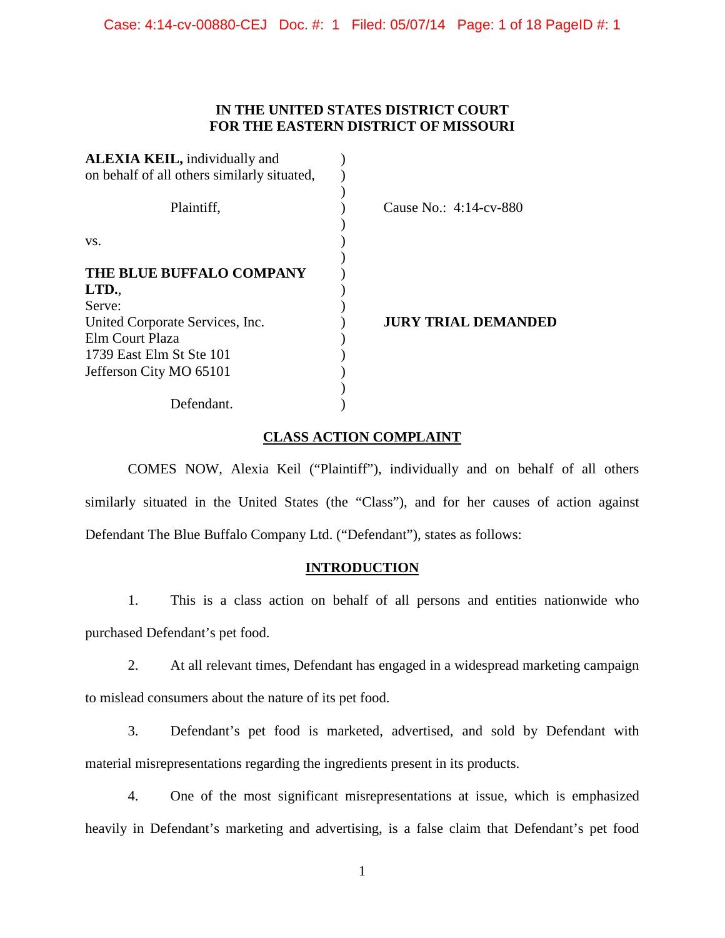# **IN THE UNITED STATES DISTRICT COURT FOR THE EASTERN DISTRICT OF MISSOURI**

| <b>ALEXIA KEIL, individually and</b>        |                            |
|---------------------------------------------|----------------------------|
| on behalf of all others similarly situated, |                            |
|                                             |                            |
| Plaintiff,                                  | Cause No.: $4:14$ -cv-880  |
|                                             |                            |
| VS.                                         |                            |
|                                             |                            |
| THE BLUE BUFFALO COMPANY                    |                            |
| LTD.                                        |                            |
| Serve:                                      |                            |
| United Corporate Services, Inc.             | <b>JURY TRIAL DEMANDED</b> |
| Elm Court Plaza                             |                            |
| 1739 East Elm St Ste 101                    |                            |
| Jefferson City MO 65101                     |                            |
|                                             |                            |
| Defendant.                                  |                            |

# **CLASS ACTION COMPLAINT**

COMES NOW, Alexia Keil ("Plaintiff"), individually and on behalf of all others similarly situated in the United States (the "Class"), and for her causes of action against Defendant The Blue Buffalo Company Ltd. ("Defendant"), states as follows:

# **INTRODUCTION**

1. This is a class action on behalf of all persons and entities nationwide who purchased Defendant's pet food.

2. At all relevant times, Defendant has engaged in a widespread marketing campaign to mislead consumers about the nature of its pet food.

3. Defendant's pet food is marketed, advertised, and sold by Defendant with material misrepresentations regarding the ingredients present in its products.

4. One of the most significant misrepresentations at issue, which is emphasized heavily in Defendant's marketing and advertising, is a false claim that Defendant's pet food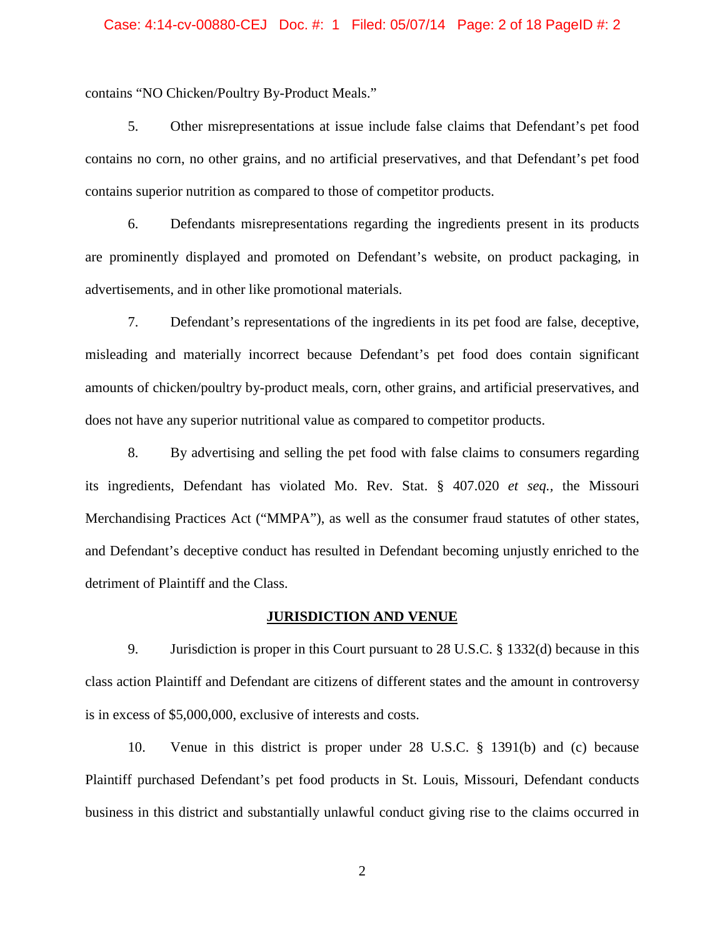## Case: 4:14-cv-00880-CEJ Doc. #: 1 Filed: 05/07/14 Page: 2 of 18 PageID #: 2

contains "NO Chicken/Poultry By-Product Meals."

5. Other misrepresentations at issue include false claims that Defendant's pet food contains no corn, no other grains, and no artificial preservatives, and that Defendant's pet food contains superior nutrition as compared to those of competitor products.

6. Defendants misrepresentations regarding the ingredients present in its products are prominently displayed and promoted on Defendant's website, on product packaging, in advertisements, and in other like promotional materials.

7. Defendant's representations of the ingredients in its pet food are false, deceptive, misleading and materially incorrect because Defendant's pet food does contain significant amounts of chicken/poultry by-product meals, corn, other grains, and artificial preservatives, and does not have any superior nutritional value as compared to competitor products.

8. By advertising and selling the pet food with false claims to consumers regarding its ingredients, Defendant has violated Mo. Rev. Stat. § 407.020 *et seq.,* the Missouri Merchandising Practices Act ("MMPA"), as well as the consumer fraud statutes of other states, and Defendant's deceptive conduct has resulted in Defendant becoming unjustly enriched to the detriment of Plaintiff and the Class.

#### **JURISDICTION AND VENUE**

9. Jurisdiction is proper in this Court pursuant to 28 U.S.C. § 1332(d) because in this class action Plaintiff and Defendant are citizens of different states and the amount in controversy is in excess of \$5,000,000, exclusive of interests and costs.

10. Venue in this district is proper under 28 U.S.C. § 1391(b) and (c) because Plaintiff purchased Defendant's pet food products in St. Louis, Missouri, Defendant conducts business in this district and substantially unlawful conduct giving rise to the claims occurred in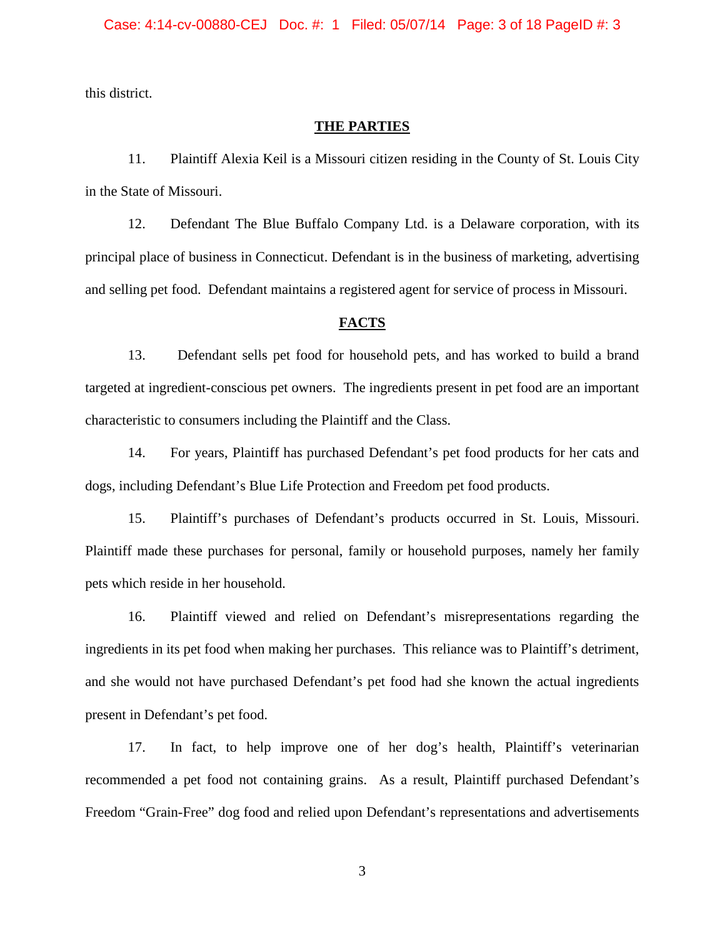this district.

## **THE PARTIES**

11. Plaintiff Alexia Keil is a Missouri citizen residing in the County of St. Louis City in the State of Missouri.

12. Defendant The Blue Buffalo Company Ltd. is a Delaware corporation, with its principal place of business in Connecticut. Defendant is in the business of marketing, advertising and selling pet food. Defendant maintains a registered agent for service of process in Missouri.

#### **FACTS**

13. Defendant sells pet food for household pets, and has worked to build a brand targeted at ingredient-conscious pet owners. The ingredients present in pet food are an important characteristic to consumers including the Plaintiff and the Class.

14. For years, Plaintiff has purchased Defendant's pet food products for her cats and dogs, including Defendant's Blue Life Protection and Freedom pet food products.

15. Plaintiff's purchases of Defendant's products occurred in St. Louis, Missouri. Plaintiff made these purchases for personal, family or household purposes, namely her family pets which reside in her household.

16. Plaintiff viewed and relied on Defendant's misrepresentations regarding the ingredients in its pet food when making her purchases. This reliance was to Plaintiff's detriment, and she would not have purchased Defendant's pet food had she known the actual ingredients present in Defendant's pet food.

17. In fact, to help improve one of her dog's health, Plaintiff's veterinarian recommended a pet food not containing grains. As a result, Plaintiff purchased Defendant's Freedom "Grain-Free" dog food and relied upon Defendant's representations and advertisements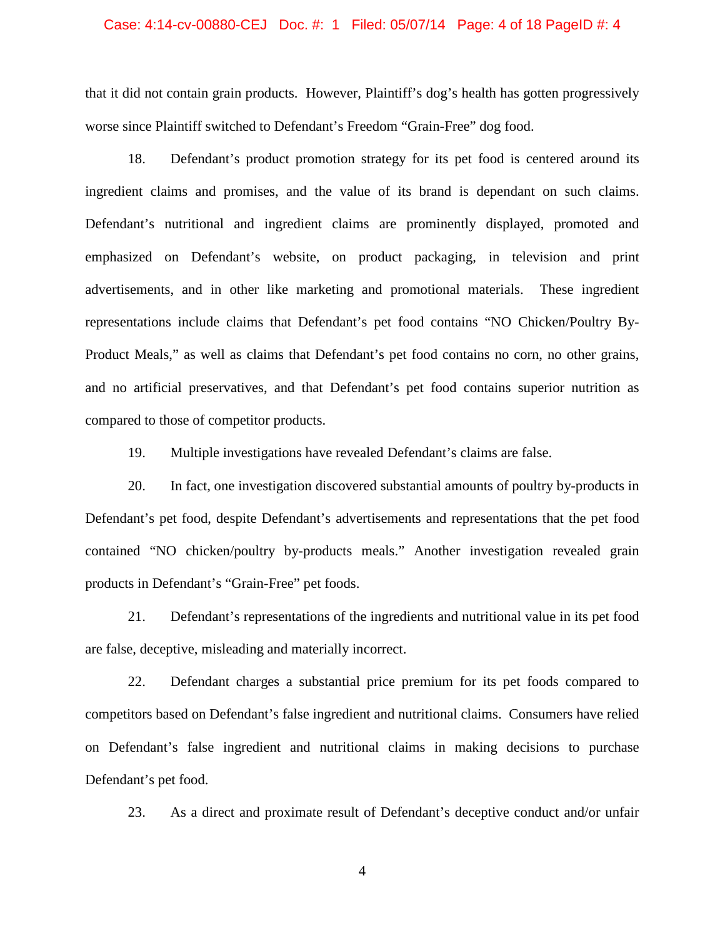# Case: 4:14-cv-00880-CEJ Doc. #: 1 Filed: 05/07/14 Page: 4 of 18 PageID #: 4

that it did not contain grain products. However, Plaintiff's dog's health has gotten progressively worse since Plaintiff switched to Defendant's Freedom "Grain-Free" dog food.

18. Defendant's product promotion strategy for its pet food is centered around its ingredient claims and promises, and the value of its brand is dependant on such claims. Defendant's nutritional and ingredient claims are prominently displayed, promoted and emphasized on Defendant's website, on product packaging, in television and print advertisements, and in other like marketing and promotional materials. These ingredient representations include claims that Defendant's pet food contains "NO Chicken/Poultry By-Product Meals," as well as claims that Defendant's pet food contains no corn, no other grains, and no artificial preservatives, and that Defendant's pet food contains superior nutrition as compared to those of competitor products.

19. Multiple investigations have revealed Defendant's claims are false.

20. In fact, one investigation discovered substantial amounts of poultry by-products in Defendant's pet food, despite Defendant's advertisements and representations that the pet food contained "NO chicken/poultry by-products meals." Another investigation revealed grain products in Defendant's "Grain-Free" pet foods.

21. Defendant's representations of the ingredients and nutritional value in its pet food are false, deceptive, misleading and materially incorrect.

22. Defendant charges a substantial price premium for its pet foods compared to competitors based on Defendant's false ingredient and nutritional claims. Consumers have relied on Defendant's false ingredient and nutritional claims in making decisions to purchase Defendant's pet food.

23. As a direct and proximate result of Defendant's deceptive conduct and/or unfair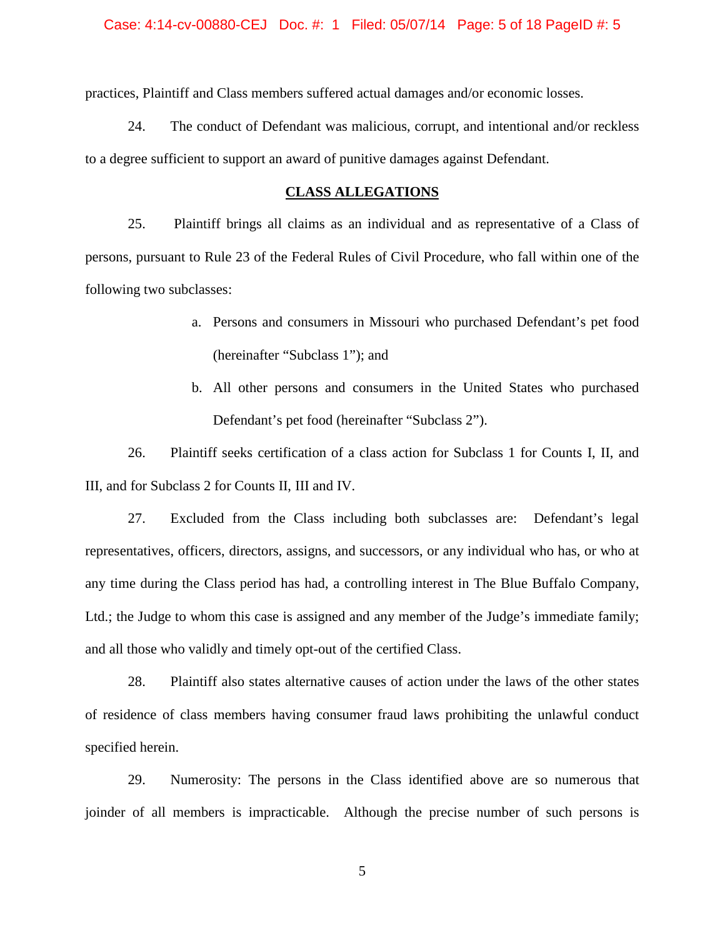#### Case: 4:14-cv-00880-CEJ Doc. #: 1 Filed: 05/07/14 Page: 5 of 18 PageID #: 5

practices, Plaintiff and Class members suffered actual damages and/or economic losses.

24. The conduct of Defendant was malicious, corrupt, and intentional and/or reckless to a degree sufficient to support an award of punitive damages against Defendant.

#### **CLASS ALLEGATIONS**

25. Plaintiff brings all claims as an individual and as representative of a Class of persons, pursuant to Rule 23 of the Federal Rules of Civil Procedure, who fall within one of the following two subclasses:

- a. Persons and consumers in Missouri who purchased Defendant's pet food (hereinafter "Subclass 1"); and
- b. All other persons and consumers in the United States who purchased Defendant's pet food (hereinafter "Subclass 2").

26. Plaintiff seeks certification of a class action for Subclass 1 for Counts I, II, and III, and for Subclass 2 for Counts II, III and IV.

27. Excluded from the Class including both subclasses are: Defendant's legal representatives, officers, directors, assigns, and successors, or any individual who has, or who at any time during the Class period has had, a controlling interest in The Blue Buffalo Company, Ltd.; the Judge to whom this case is assigned and any member of the Judge's immediate family; and all those who validly and timely opt-out of the certified Class.

28. Plaintiff also states alternative causes of action under the laws of the other states of residence of class members having consumer fraud laws prohibiting the unlawful conduct specified herein.

29. Numerosity: The persons in the Class identified above are so numerous that joinder of all members is impracticable. Although the precise number of such persons is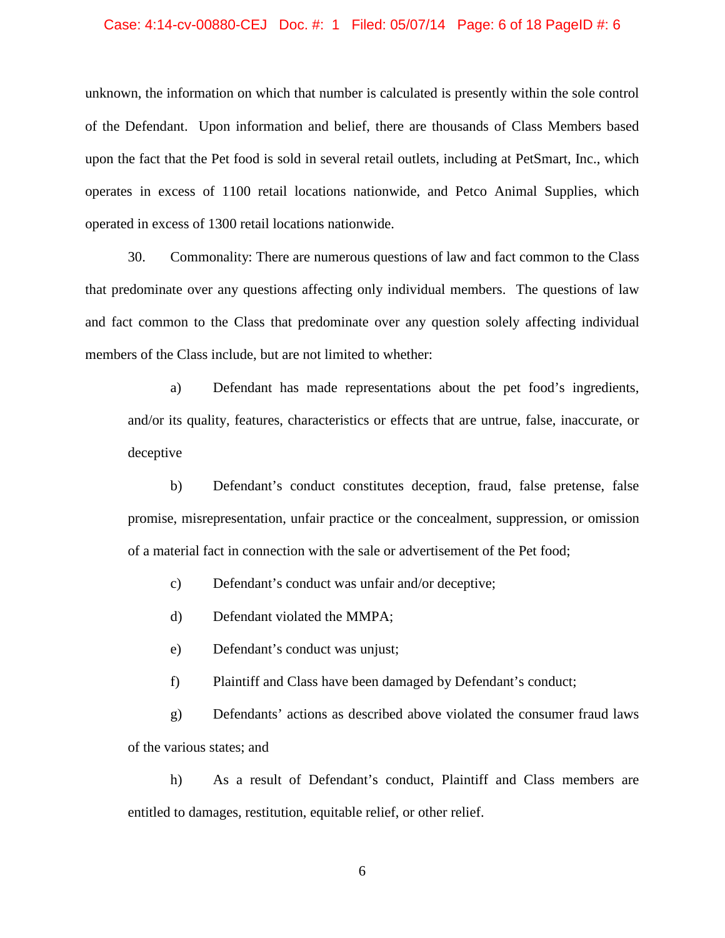# Case: 4:14-cv-00880-CEJ Doc. #: 1 Filed: 05/07/14 Page: 6 of 18 PageID #: 6

unknown, the information on which that number is calculated is presently within the sole control of the Defendant. Upon information and belief, there are thousands of Class Members based upon the fact that the Pet food is sold in several retail outlets, including at PetSmart, Inc., which operates in excess of 1100 retail locations nationwide, and Petco Animal Supplies, which operated in excess of 1300 retail locations nationwide.

30. Commonality: There are numerous questions of law and fact common to the Class that predominate over any questions affecting only individual members. The questions of law and fact common to the Class that predominate over any question solely affecting individual members of the Class include, but are not limited to whether:

a) Defendant has made representations about the pet food's ingredients, and/or its quality, features, characteristics or effects that are untrue, false, inaccurate, or deceptive

b) Defendant's conduct constitutes deception, fraud, false pretense, false promise, misrepresentation, unfair practice or the concealment, suppression, or omission of a material fact in connection with the sale or advertisement of the Pet food;

c) Defendant's conduct was unfair and/or deceptive;

d) Defendant violated the MMPA;

e) Defendant's conduct was unjust;

f) Plaintiff and Class have been damaged by Defendant's conduct;

g) Defendants' actions as described above violated the consumer fraud laws of the various states; and

h) As a result of Defendant's conduct, Plaintiff and Class members are entitled to damages, restitution, equitable relief, or other relief.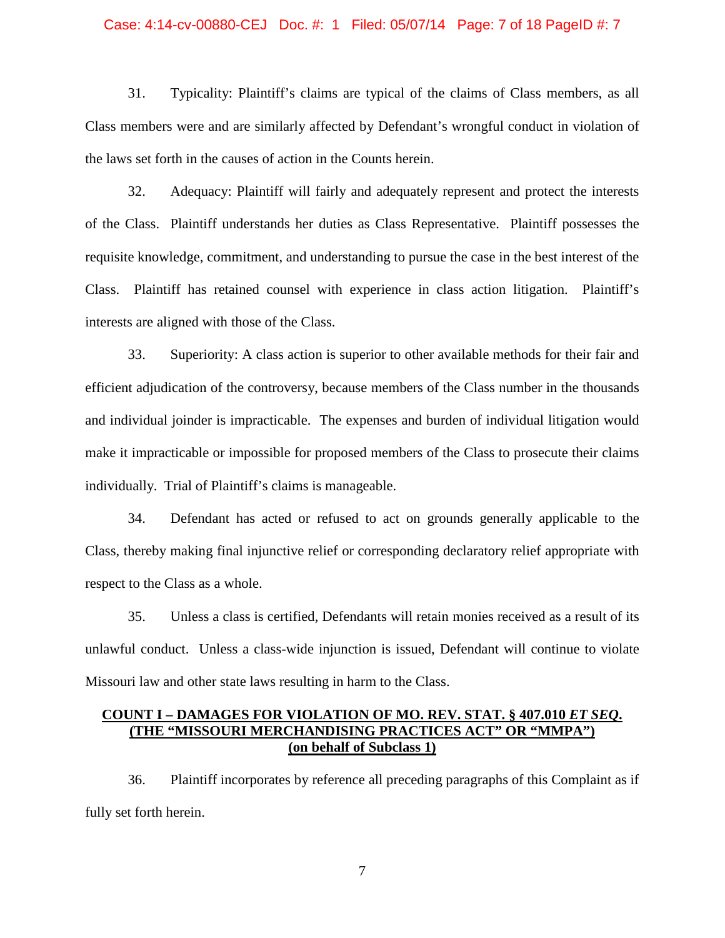## Case: 4:14-cv-00880-CEJ Doc. #: 1 Filed: 05/07/14 Page: 7 of 18 PageID #: 7

31. Typicality: Plaintiff's claims are typical of the claims of Class members, as all Class members were and are similarly affected by Defendant's wrongful conduct in violation of the laws set forth in the causes of action in the Counts herein.

32. Adequacy: Plaintiff will fairly and adequately represent and protect the interests of the Class. Plaintiff understands her duties as Class Representative. Plaintiff possesses the requisite knowledge, commitment, and understanding to pursue the case in the best interest of the Class. Plaintiff has retained counsel with experience in class action litigation. Plaintiff's interests are aligned with those of the Class.

33. Superiority: A class action is superior to other available methods for their fair and efficient adjudication of the controversy, because members of the Class number in the thousands and individual joinder is impracticable. The expenses and burden of individual litigation would make it impracticable or impossible for proposed members of the Class to prosecute their claims individually. Trial of Plaintiff's claims is manageable.

34. Defendant has acted or refused to act on grounds generally applicable to the Class, thereby making final injunctive relief or corresponding declaratory relief appropriate with respect to the Class as a whole.

35. Unless a class is certified, Defendants will retain monies received as a result of its unlawful conduct. Unless a class-wide injunction is issued, Defendant will continue to violate Missouri law and other state laws resulting in harm to the Class.

## **COUNT I – DAMAGES FOR VIOLATION OF MO. REV. STAT. § 407.010** *ET SEQ***. (THE "MISSOURI MERCHANDISING PRACTICES ACT" OR "MMPA") (on behalf of Subclass 1)**

36. Plaintiff incorporates by reference all preceding paragraphs of this Complaint as if fully set forth herein.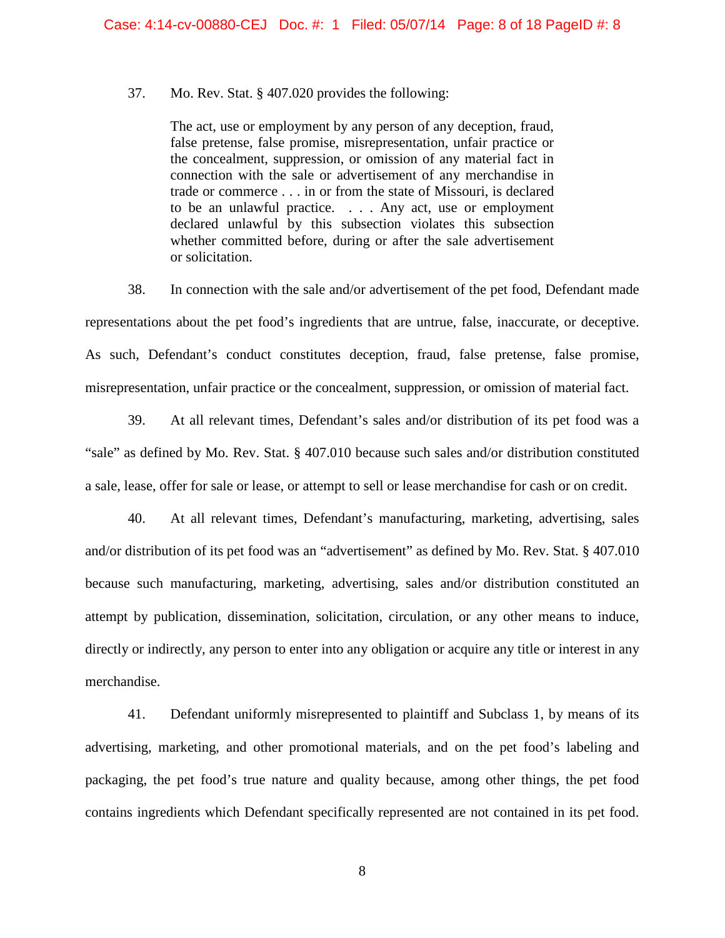## 37. Mo. Rev. Stat. § 407.020 provides the following:

The act, use or employment by any person of any deception, fraud, false pretense, false promise, misrepresentation, unfair practice or the concealment, suppression, or omission of any material fact in connection with the sale or advertisement of any merchandise in trade or commerce . . . in or from the state of Missouri, is declared to be an unlawful practice. . . . Any act, use or employment declared unlawful by this subsection violates this subsection whether committed before, during or after the sale advertisement or solicitation.

38. In connection with the sale and/or advertisement of the pet food, Defendant made representations about the pet food's ingredients that are untrue, false, inaccurate, or deceptive. As such, Defendant's conduct constitutes deception, fraud, false pretense, false promise, misrepresentation, unfair practice or the concealment, suppression, or omission of material fact.

39. At all relevant times, Defendant's sales and/or distribution of its pet food was a "sale" as defined by Mo. Rev. Stat. § 407.010 because such sales and/or distribution constituted a sale, lease, offer for sale or lease, or attempt to sell or lease merchandise for cash or on credit.

40. At all relevant times, Defendant's manufacturing, marketing, advertising, sales and/or distribution of its pet food was an "advertisement" as defined by Mo. Rev. Stat. § 407.010 because such manufacturing, marketing, advertising, sales and/or distribution constituted an attempt by publication, dissemination, solicitation, circulation, or any other means to induce, directly or indirectly, any person to enter into any obligation or acquire any title or interest in any merchandise.

41. Defendant uniformly misrepresented to plaintiff and Subclass 1, by means of its advertising, marketing, and other promotional materials, and on the pet food's labeling and packaging, the pet food's true nature and quality because, among other things, the pet food contains ingredients which Defendant specifically represented are not contained in its pet food.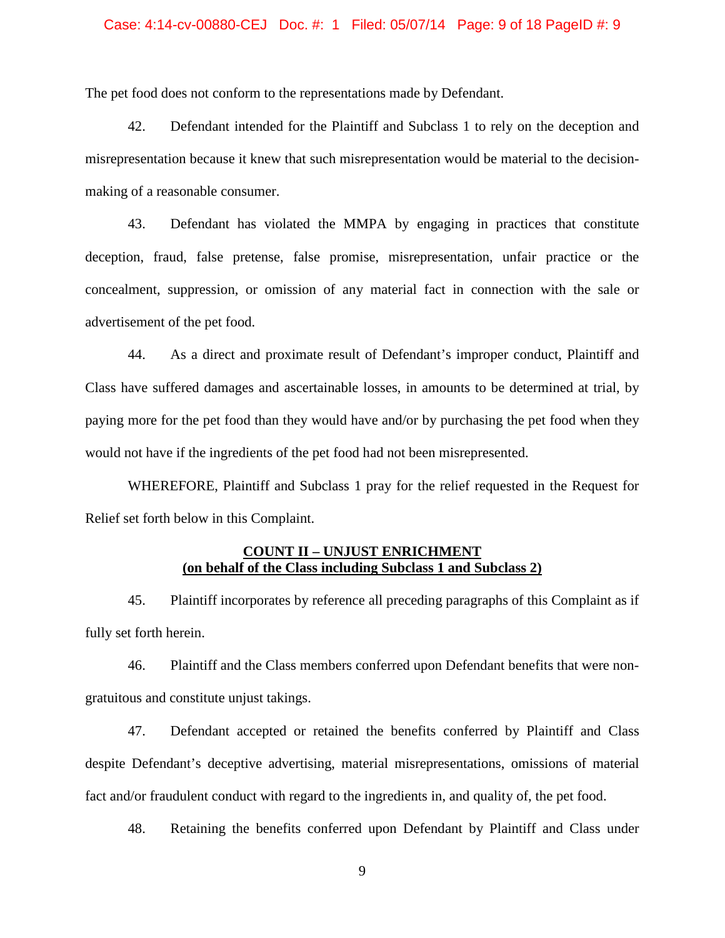#### Case: 4:14-cv-00880-CEJ Doc. #: 1 Filed: 05/07/14 Page: 9 of 18 PageID #: 9

The pet food does not conform to the representations made by Defendant.

42. Defendant intended for the Plaintiff and Subclass 1 to rely on the deception and misrepresentation because it knew that such misrepresentation would be material to the decisionmaking of a reasonable consumer.

43. Defendant has violated the MMPA by engaging in practices that constitute deception, fraud, false pretense, false promise, misrepresentation, unfair practice or the concealment, suppression, or omission of any material fact in connection with the sale or advertisement of the pet food.

44. As a direct and proximate result of Defendant's improper conduct, Plaintiff and Class have suffered damages and ascertainable losses, in amounts to be determined at trial, by paying more for the pet food than they would have and/or by purchasing the pet food when they would not have if the ingredients of the pet food had not been misrepresented.

WHEREFORE, Plaintiff and Subclass 1 pray for the relief requested in the Request for Relief set forth below in this Complaint.

### **COUNT II – UNJUST ENRICHMENT (on behalf of the Class including Subclass 1 and Subclass 2)**

45. Plaintiff incorporates by reference all preceding paragraphs of this Complaint as if fully set forth herein.

46. Plaintiff and the Class members conferred upon Defendant benefits that were nongratuitous and constitute unjust takings.

47. Defendant accepted or retained the benefits conferred by Plaintiff and Class despite Defendant's deceptive advertising, material misrepresentations, omissions of material fact and/or fraudulent conduct with regard to the ingredients in, and quality of, the pet food.

48. Retaining the benefits conferred upon Defendant by Plaintiff and Class under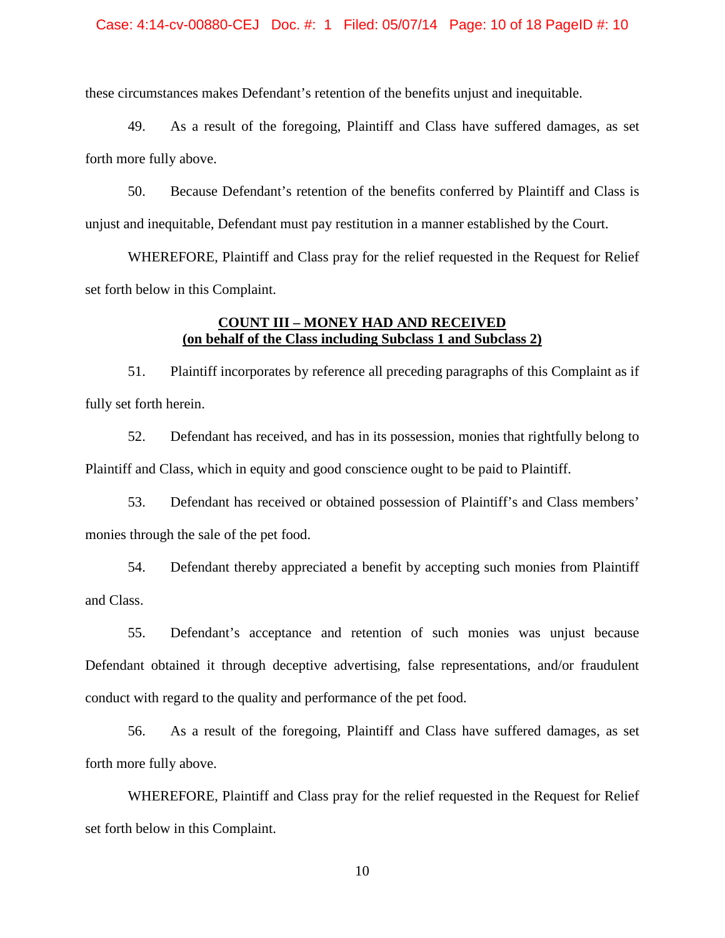#### Case: 4:14-cv-00880-CEJ Doc. #: 1 Filed: 05/07/14 Page: 10 of 18 PageID #: 10

these circumstances makes Defendant's retention of the benefits unjust and inequitable.

49. As a result of the foregoing, Plaintiff and Class have suffered damages, as set forth more fully above.

50. Because Defendant's retention of the benefits conferred by Plaintiff and Class is unjust and inequitable, Defendant must pay restitution in a manner established by the Court.

WHEREFORE, Plaintiff and Class pray for the relief requested in the Request for Relief set forth below in this Complaint.

# **COUNT III – MONEY HAD AND RECEIVED (on behalf of the Class including Subclass 1 and Subclass 2)**

51. Plaintiff incorporates by reference all preceding paragraphs of this Complaint as if fully set forth herein.

52. Defendant has received, and has in its possession, monies that rightfully belong to Plaintiff and Class, which in equity and good conscience ought to be paid to Plaintiff.

53. Defendant has received or obtained possession of Plaintiff's and Class members' monies through the sale of the pet food.

54. Defendant thereby appreciated a benefit by accepting such monies from Plaintiff and Class.

55. Defendant's acceptance and retention of such monies was unjust because Defendant obtained it through deceptive advertising, false representations, and/or fraudulent conduct with regard to the quality and performance of the pet food.

56. As a result of the foregoing, Plaintiff and Class have suffered damages, as set forth more fully above.

WHEREFORE, Plaintiff and Class pray for the relief requested in the Request for Relief set forth below in this Complaint.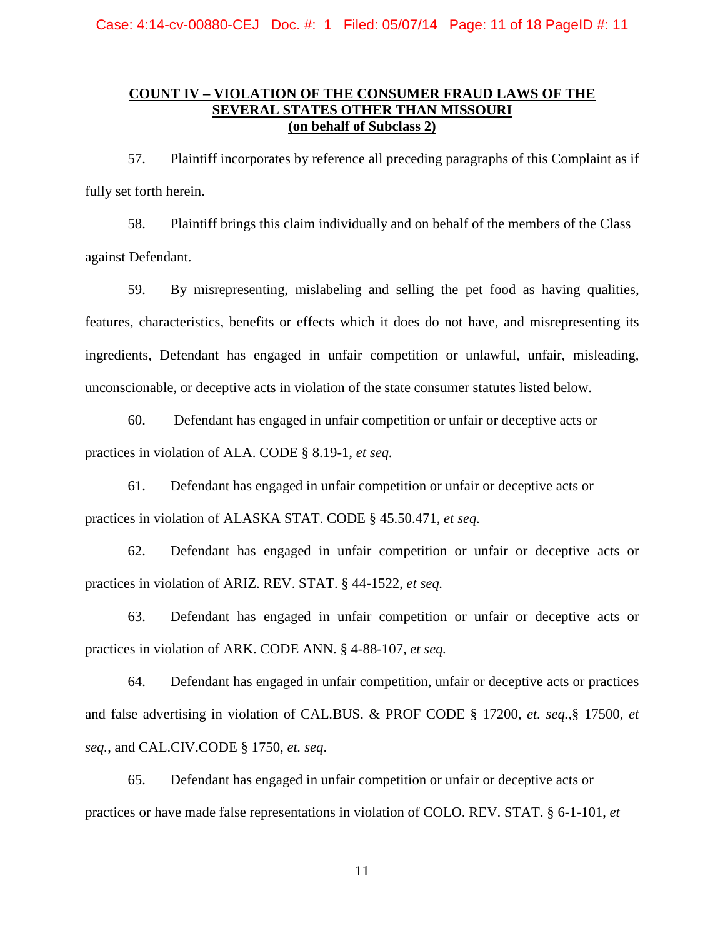# **COUNT IV – VIOLATION OF THE CONSUMER FRAUD LAWS OF THE SEVERAL STATES OTHER THAN MISSOURI (on behalf of Subclass 2)**

57. Plaintiff incorporates by reference all preceding paragraphs of this Complaint as if fully set forth herein.

58. Plaintiff brings this claim individually and on behalf of the members of the Class against Defendant.

59. By misrepresenting, mislabeling and selling the pet food as having qualities, features, characteristics, benefits or effects which it does do not have, and misrepresenting its ingredients, Defendant has engaged in unfair competition or unlawful, unfair, misleading, unconscionable, or deceptive acts in violation of the state consumer statutes listed below.

60. Defendant has engaged in unfair competition or unfair or deceptive acts or practices in violation of ALA. CODE § 8.19-1, *et seq.*

61. Defendant has engaged in unfair competition or unfair or deceptive acts or practices in violation of ALASKA STAT. CODE § 45.50.471, *et seq.*

62. Defendant has engaged in unfair competition or unfair or deceptive acts or practices in violation of ARIZ. REV. STAT. § 44-1522, *et seq.*

63. Defendant has engaged in unfair competition or unfair or deceptive acts or practices in violation of ARK. CODE ANN. § 4-88-107, *et seq.*

64. Defendant has engaged in unfair competition, unfair or deceptive acts or practices and false advertising in violation of CAL.BUS. & PROF CODE § 17200, *et. seq.,*§ 17500, *et seq.*, and CAL.CIV.CODE § 1750, *et. seq*.

65. Defendant has engaged in unfair competition or unfair or deceptive acts or practices or have made false representations in violation of COLO. REV. STAT. § 6-1-101, *et*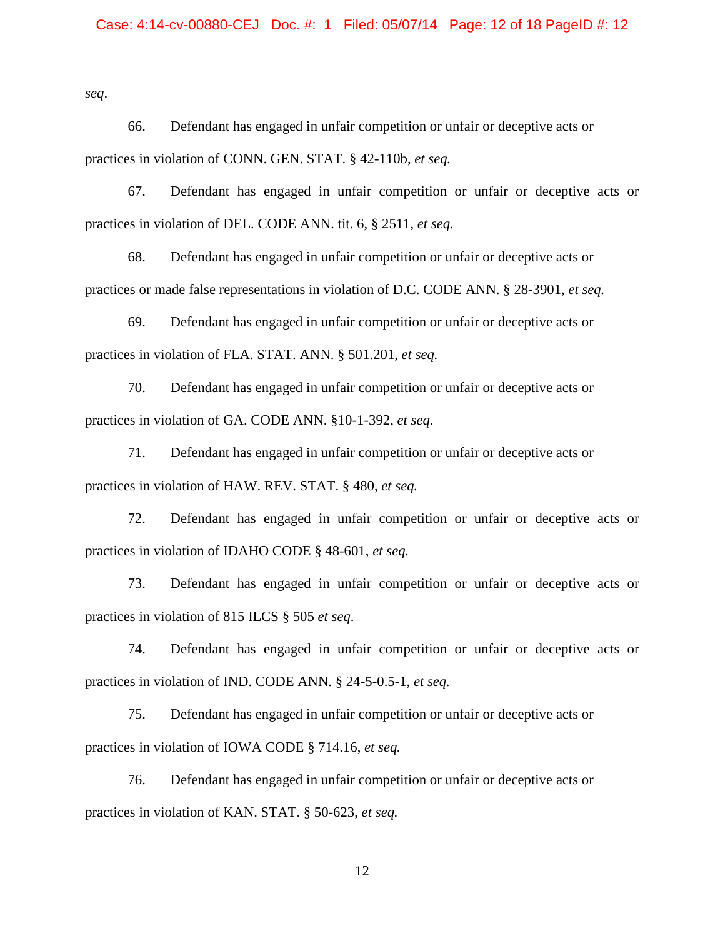#### Case: 4:14-cv-00880-CEJ Doc. #: 1 Filed: 05/07/14 Page: 12 of 18 PageID #: 12

*seq*.

66. Defendant has engaged in unfair competition or unfair or deceptive acts or practices in violation of CONN. GEN. STAT. § 42-110b, *et seq.*

67. Defendant has engaged in unfair competition or unfair or deceptive acts or practices in violation of DEL. CODE ANN. tit. 6, § 2511, *et seq.*

68. Defendant has engaged in unfair competition or unfair or deceptive acts or practices or made false representations in violation of D.C. CODE ANN. § 28-3901, *et seq.*

69. Defendant has engaged in unfair competition or unfair or deceptive acts or practices in violation of FLA. STAT. ANN. § 501.201, *et seq.*

70. Defendant has engaged in unfair competition or unfair or deceptive acts or practices in violation of GA. CODE ANN. §10-1-392, *et seq*.

71. Defendant has engaged in unfair competition or unfair or deceptive acts or practices in violation of HAW. REV. STAT. § 480, *et seq.*

72. Defendant has engaged in unfair competition or unfair or deceptive acts or practices in violation of IDAHO CODE § 48-601, *et seq.*

73. Defendant has engaged in unfair competition or unfair or deceptive acts or practices in violation of 815 ILCS § 505 *et seq*.

74. Defendant has engaged in unfair competition or unfair or deceptive acts or practices in violation of IND. CODE ANN. § 24-5-0.5-1, *et seq.*

75. Defendant has engaged in unfair competition or unfair or deceptive acts or practices in violation of IOWA CODE § 714.16, *et seq.*

76. Defendant has engaged in unfair competition or unfair or deceptive acts or practices in violation of KAN. STAT. § 50-623, *et seq.*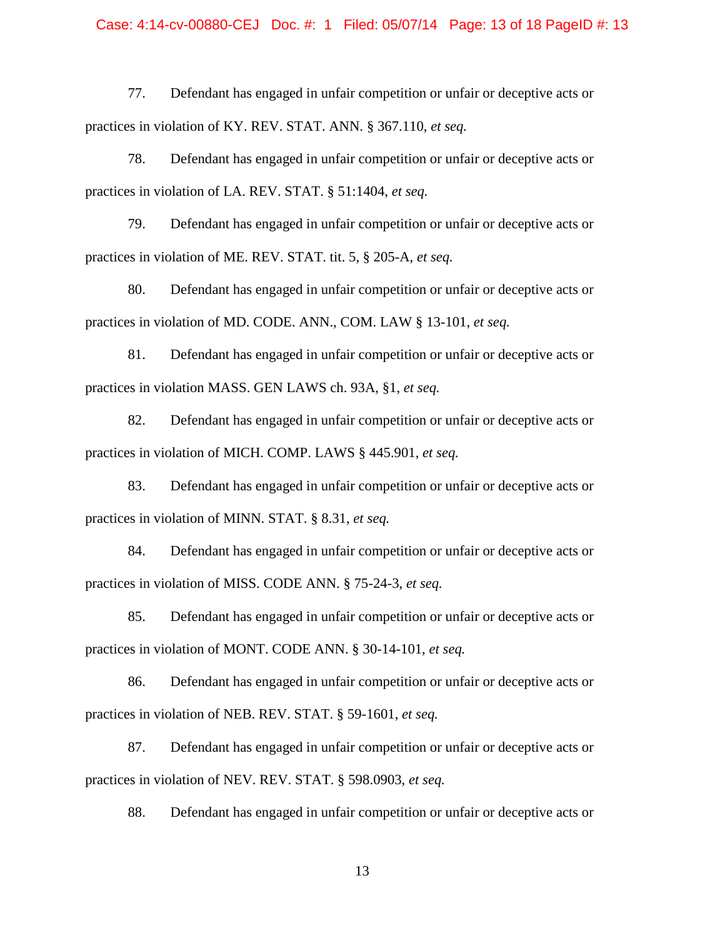#### Case: 4:14-cv-00880-CEJ Doc. #: 1 Filed: 05/07/14 Page: 13 of 18 PageID #: 13

77. Defendant has engaged in unfair competition or unfair or deceptive acts or practices in violation of KY. REV. STAT. ANN. § 367.110, *et seq.*

78. Defendant has engaged in unfair competition or unfair or deceptive acts or practices in violation of LA. REV. STAT. § 51:1404, *et seq.*

79. Defendant has engaged in unfair competition or unfair or deceptive acts or practices in violation of ME. REV. STAT. tit. 5, § 205-A, *et seq.*

80. Defendant has engaged in unfair competition or unfair or deceptive acts or practices in violation of MD. CODE. ANN., COM. LAW § 13-101, *et seq.*

81. Defendant has engaged in unfair competition or unfair or deceptive acts or practices in violation MASS. GEN LAWS ch. 93A, §1, *et seq.*

82. Defendant has engaged in unfair competition or unfair or deceptive acts or practices in violation of MICH. COMP. LAWS § 445.901, *et seq.*

83. Defendant has engaged in unfair competition or unfair or deceptive acts or practices in violation of MINN. STAT. § 8.31, *et seq.*

84. Defendant has engaged in unfair competition or unfair or deceptive acts or practices in violation of MISS. CODE ANN. § 75-24-3, *et seq.*

85. Defendant has engaged in unfair competition or unfair or deceptive acts or practices in violation of MONT. CODE ANN. § 30-14-101, *et seq.*

86. Defendant has engaged in unfair competition or unfair or deceptive acts or practices in violation of NEB. REV. STAT. § 59-1601, *et seq.*

87. Defendant has engaged in unfair competition or unfair or deceptive acts or practices in violation of NEV. REV. STAT. § 598.0903, *et seq.*

88. Defendant has engaged in unfair competition or unfair or deceptive acts or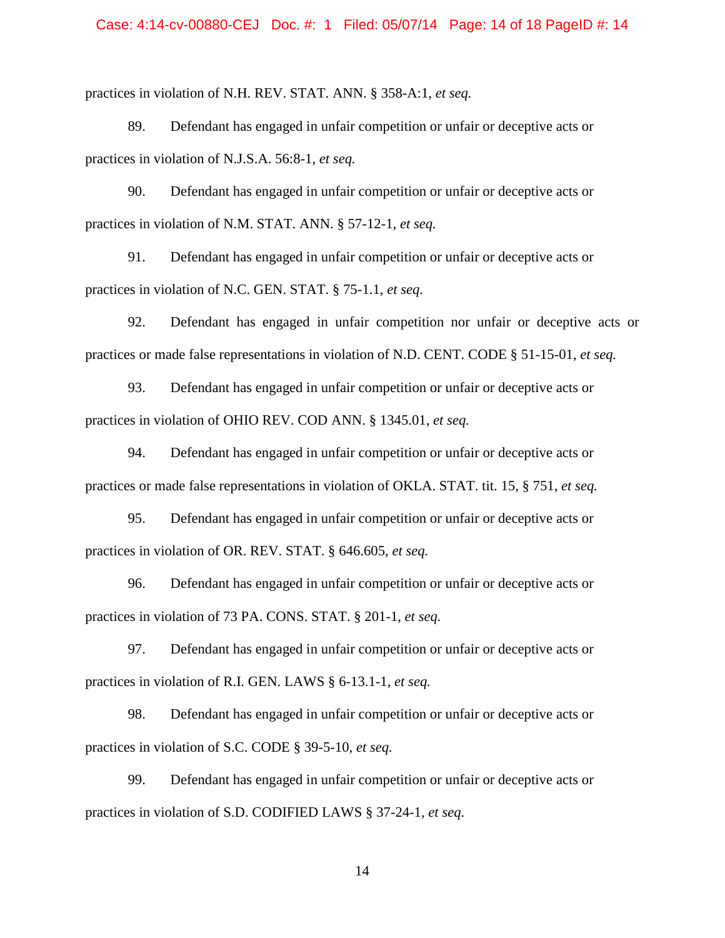#### Case: 4:14-cv-00880-CEJ Doc. #: 1 Filed: 05/07/14 Page: 14 of 18 PageID #: 14

practices in violation of N.H. REV. STAT. ANN. § 358-A:1, *et seq.*

89. Defendant has engaged in unfair competition or unfair or deceptive acts or practices in violation of N.J.S.A. 56:8-1, *et seq.*

90. Defendant has engaged in unfair competition or unfair or deceptive acts or practices in violation of N.M. STAT. ANN. § 57-12-1, *et seq.*

91. Defendant has engaged in unfair competition or unfair or deceptive acts or practices in violation of N.C. GEN. STAT. § 75-1.1, *et seq.*

92. Defendant has engaged in unfair competition nor unfair or deceptive acts or practices or made false representations in violation of N.D. CENT. CODE § 51-15-01, *et seq.*

93. Defendant has engaged in unfair competition or unfair or deceptive acts or practices in violation of OHIO REV. COD ANN. § 1345.01, *et seq.*

94. Defendant has engaged in unfair competition or unfair or deceptive acts or practices or made false representations in violation of OKLA. STAT. tit. 15, § 751, *et seq.*

95. Defendant has engaged in unfair competition or unfair or deceptive acts or practices in violation of OR. REV. STAT. § 646.605, *et seq.*

96. Defendant has engaged in unfair competition or unfair or deceptive acts or practices in violation of 73 PA. CONS. STAT. § 201-1, *et seq.*

97. Defendant has engaged in unfair competition or unfair or deceptive acts or practices in violation of R.I. GEN. LAWS § 6-13.1-1, *et seq.*

98. Defendant has engaged in unfair competition or unfair or deceptive acts or practices in violation of S.C. CODE § 39-5-10, *et seq.*

99. Defendant has engaged in unfair competition or unfair or deceptive acts or practices in violation of S.D. CODIFIED LAWS § 37-24-1, *et seq*.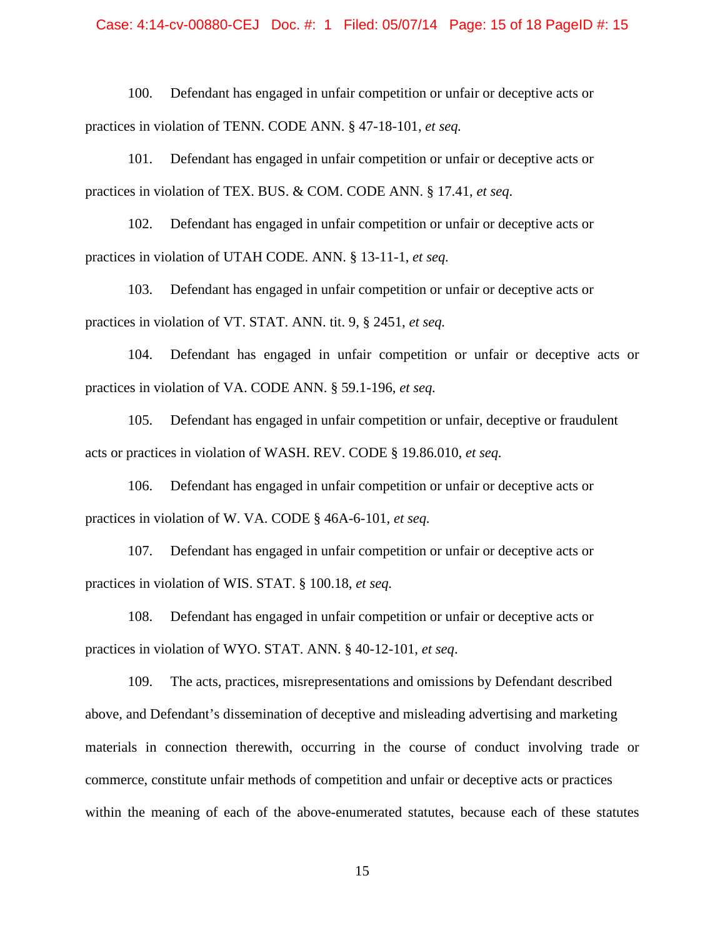#### Case: 4:14-cv-00880-CEJ Doc. #: 1 Filed: 05/07/14 Page: 15 of 18 PageID #: 15

100. Defendant has engaged in unfair competition or unfair or deceptive acts or practices in violation of TENN. CODE ANN. § 47-18-101, *et seq.*

101. Defendant has engaged in unfair competition or unfair or deceptive acts or practices in violation of TEX. BUS. & COM. CODE ANN. § 17.41, *et seq.*

102. Defendant has engaged in unfair competition or unfair or deceptive acts or practices in violation of UTAH CODE. ANN. § 13-11-1, *et seq.*

103. Defendant has engaged in unfair competition or unfair or deceptive acts or practices in violation of VT. STAT. ANN. tit. 9, § 2451, *et seq.*

104. Defendant has engaged in unfair competition or unfair or deceptive acts or practices in violation of VA. CODE ANN. § 59.1-196, *et seq.*

105. Defendant has engaged in unfair competition or unfair, deceptive or fraudulent acts or practices in violation of WASH. REV. CODE § 19.86.010, *et seq.*

106. Defendant has engaged in unfair competition or unfair or deceptive acts or practices in violation of W. VA. CODE § 46A-6-101, *et seq.*

107. Defendant has engaged in unfair competition or unfair or deceptive acts or practices in violation of WIS. STAT. § 100.18, *et seq.*

108. Defendant has engaged in unfair competition or unfair or deceptive acts or practices in violation of WYO. STAT. ANN. § 40-12-101, *et seq*.

109. The acts, practices, misrepresentations and omissions by Defendant described above, and Defendant's dissemination of deceptive and misleading advertising and marketing materials in connection therewith, occurring in the course of conduct involving trade or commerce, constitute unfair methods of competition and unfair or deceptive acts or practices within the meaning of each of the above-enumerated statutes, because each of these statutes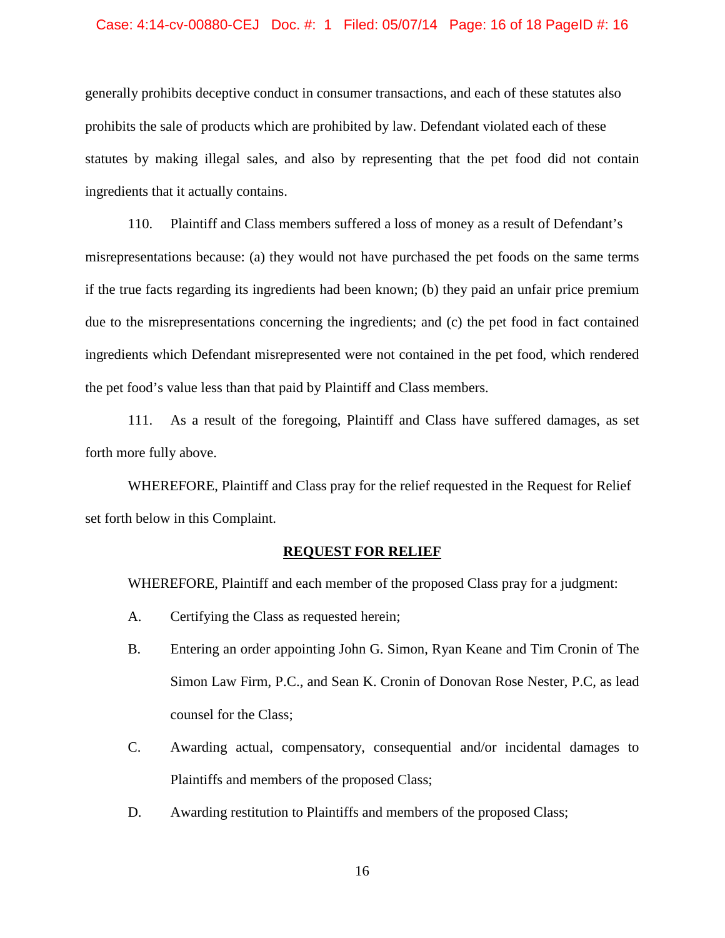#### Case: 4:14-cv-00880-CEJ Doc. #: 1 Filed: 05/07/14 Page: 16 of 18 PageID #: 16

generally prohibits deceptive conduct in consumer transactions, and each of these statutes also prohibits the sale of products which are prohibited by law. Defendant violated each of these statutes by making illegal sales, and also by representing that the pet food did not contain ingredients that it actually contains.

110. Plaintiff and Class members suffered a loss of money as a result of Defendant's misrepresentations because: (a) they would not have purchased the pet foods on the same terms if the true facts regarding its ingredients had been known; (b) they paid an unfair price premium due to the misrepresentations concerning the ingredients; and (c) the pet food in fact contained ingredients which Defendant misrepresented were not contained in the pet food, which rendered the pet food's value less than that paid by Plaintiff and Class members.

111. As a result of the foregoing, Plaintiff and Class have suffered damages, as set forth more fully above.

WHEREFORE, Plaintiff and Class pray for the relief requested in the Request for Relief set forth below in this Complaint.

#### **REQUEST FOR RELIEF**

WHEREFORE, Plaintiff and each member of the proposed Class pray for a judgment:

- A. Certifying the Class as requested herein;
- B. Entering an order appointing John G. Simon, Ryan Keane and Tim Cronin of The Simon Law Firm, P.C., and Sean K. Cronin of Donovan Rose Nester, P.C, as lead counsel for the Class;
- C. Awarding actual, compensatory, consequential and/or incidental damages to Plaintiffs and members of the proposed Class;
- D. Awarding restitution to Plaintiffs and members of the proposed Class;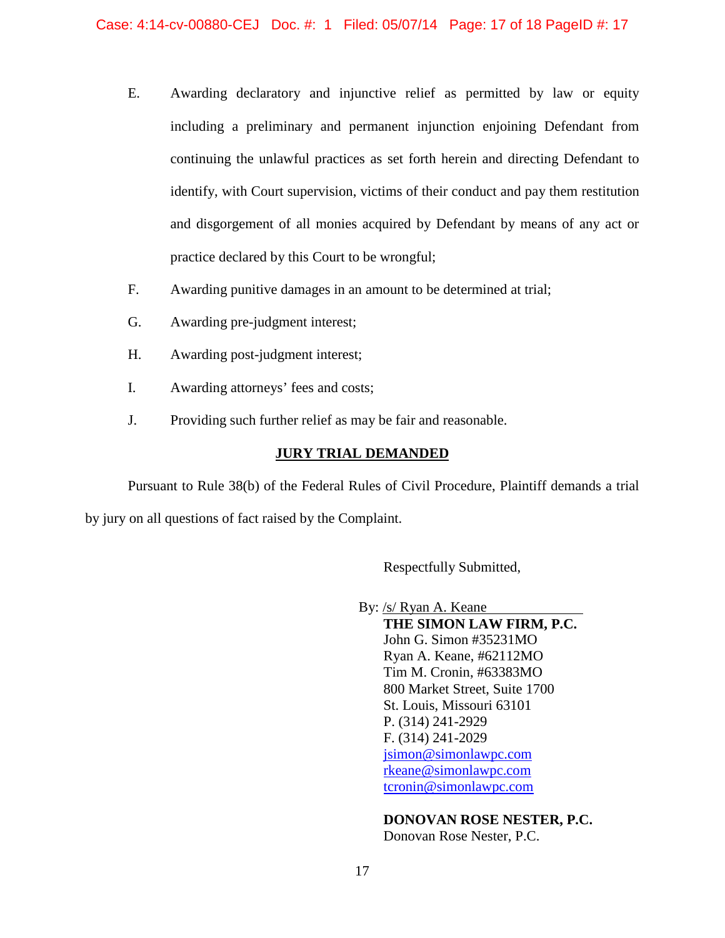- E. Awarding declaratory and injunctive relief as permitted by law or equity including a preliminary and permanent injunction enjoining Defendant from continuing the unlawful practices as set forth herein and directing Defendant to identify, with Court supervision, victims of their conduct and pay them restitution and disgorgement of all monies acquired by Defendant by means of any act or practice declared by this Court to be wrongful;
- F. Awarding punitive damages in an amount to be determined at trial;
- G. Awarding pre-judgment interest;
- H. Awarding post-judgment interest;
- I. Awarding attorneys' fees and costs;
- J. Providing such further relief as may be fair and reasonable.

#### **JURY TRIAL DEMANDED**

Pursuant to Rule 38(b) of the Federal Rules of Civil Procedure, Plaintiff demands a trial

by jury on all questions of fact raised by the Complaint.

Respectfully Submitted,

By: /s/ Ryan A. Keane **THE SIMON LAW FIRM, P.C.** John G. Simon #35231MO Ryan A. Keane, #62112MO Tim M. Cronin, #63383MO 800 Market Street, Suite 1700 St. Louis, Missouri 63101 P. (314) 241-2929 F. (314) 241-2029

> [jsimon@simonlawpc.com](mailto:jsimon@simonlawpc.com) [rkeane@simonlawpc.com](mailto:rkeane@simonlawpc.com) [tcronin@simonlawpc.com](mailto:tcronin@simonlawpc.com)

**DONOVAN ROSE NESTER, P.C.**

Donovan Rose Nester, P.C.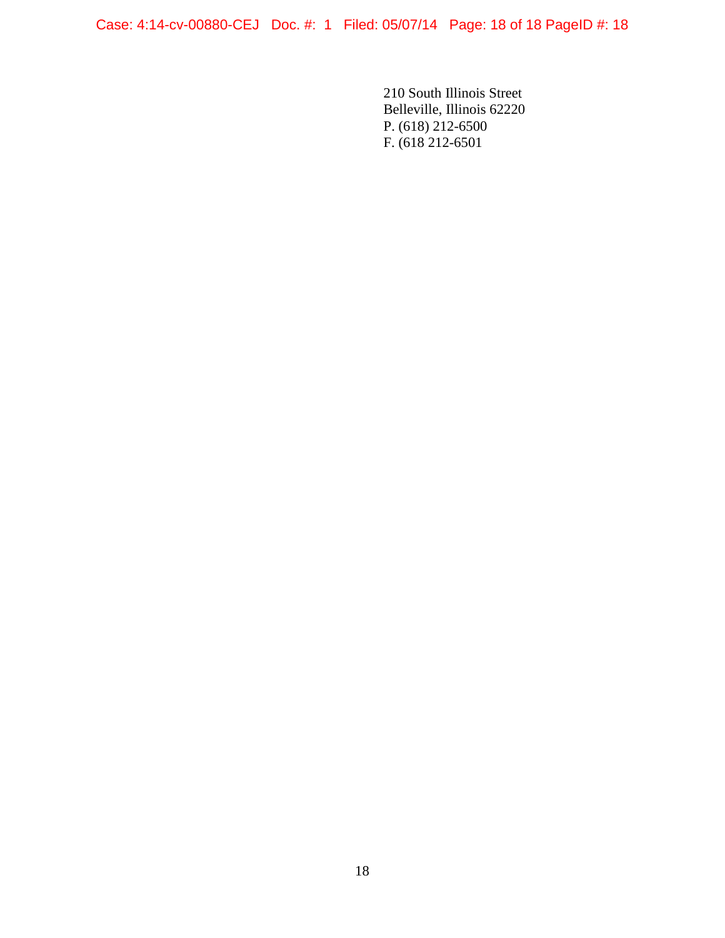Case: 4:14-cv-00880-CEJ Doc. #: 1 Filed: 05/07/14 Page: 18 of 18 PageID #: 18

210 South Illinois Street Belleville, Illinois 62220 P. (618) 212-6500 F. (618 212-6501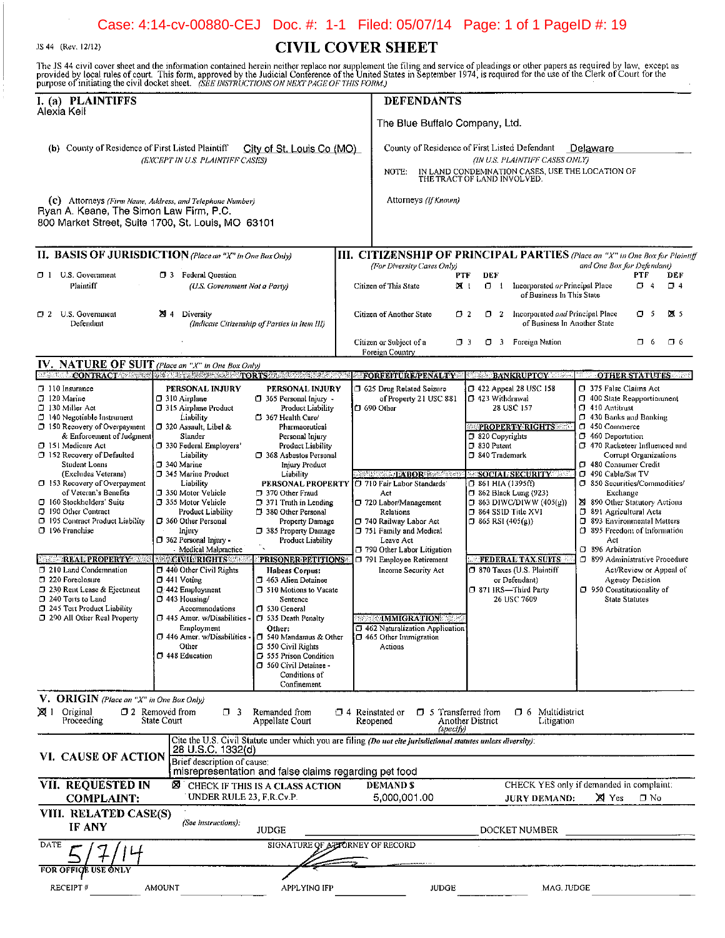# Case: 4:14-cv-00880-CEJ Doc. #: 1-1 Filed: 05/07/14 Page: 1 of 1 PageID #: 19

JS 44 (Rev. 12/12)

# **CIVIL COVER SHEET**

The JS 44 civil cover sheet and the information contained herein neither replace nor supplement the filing and service of pleadings or other papers as required by law, except as provided by local rules of court. This form,

| purpose or immaning the cryle docker sheet. These that it occurring On the at FAQS OP This PORM.)                                                                                          |                                                                                                                                                                    |                                                                                                                                                                         |                                |                                                                                                                                                                                     |                                                                                                                                                               |                                                                                                                                                                                                                        |  |
|--------------------------------------------------------------------------------------------------------------------------------------------------------------------------------------------|--------------------------------------------------------------------------------------------------------------------------------------------------------------------|-------------------------------------------------------------------------------------------------------------------------------------------------------------------------|--------------------------------|-------------------------------------------------------------------------------------------------------------------------------------------------------------------------------------|---------------------------------------------------------------------------------------------------------------------------------------------------------------|------------------------------------------------------------------------------------------------------------------------------------------------------------------------------------------------------------------------|--|
| I. (a) PLAINTIFFS                                                                                                                                                                          |                                                                                                                                                                    |                                                                                                                                                                         |                                | <b>DEFENDANTS</b>                                                                                                                                                                   |                                                                                                                                                               |                                                                                                                                                                                                                        |  |
| Alexia Keil                                                                                                                                                                                |                                                                                                                                                                    |                                                                                                                                                                         | The Blue Buffalo Company, Ltd. |                                                                                                                                                                                     |                                                                                                                                                               |                                                                                                                                                                                                                        |  |
| (b) County of Residence of First Listed Plaintiff<br>City of St. Louis Co (MO)<br>(EXCEPT IN U.S. PLAINTIFF CASES)                                                                         |                                                                                                                                                                    |                                                                                                                                                                         |                                | County of Residence of First Listed Defendant<br>Delaware<br>(IN U.S. PLAINTIFF CASES ONLY)<br>IN LAND CONDEMNATION CASES, USE THE LOCATION OF THE TRACT OF LAND INVOLVED.<br>NOTE: |                                                                                                                                                               |                                                                                                                                                                                                                        |  |
| (c) Attorneys (Firm Name, Address, and Telephone Number)<br>Ryan A. Keane, The Simon Law Firm, P.C.<br>800 Market Street, Suite 1700, St. Louis, MO 63101                                  |                                                                                                                                                                    |                                                                                                                                                                         |                                | Attorneys (If Known)                                                                                                                                                                |                                                                                                                                                               |                                                                                                                                                                                                                        |  |
| II. BASIS OF JURISDICTION (Place an "X" in One Box Only)                                                                                                                                   |                                                                                                                                                                    |                                                                                                                                                                         |                                |                                                                                                                                                                                     |                                                                                                                                                               | III. CITIZENSHIP OF PRINCIPAL PARTIES (Place an "X" in One Box for Plaintiff                                                                                                                                           |  |
| 1 U.S. Government<br>Plaintiff                                                                                                                                                             | 7 3 Federal Question<br>(U.S. Government Not a Party)                                                                                                              |                                                                                                                                                                         |                                | (For Diversity Cases Only)<br>Citizen of This State                                                                                                                                 | DEF<br>PTF<br>区!<br>$\Box$ 1 Incorporated or Principal Place<br>of Business In This State                                                                     | and One Box for Defendant)<br>PTF<br>DEF<br>$\Box$ 4<br>$\Box$ 4                                                                                                                                                       |  |
| 12 U.S. Government<br>Defendant                                                                                                                                                            | 23 4<br>Diversity                                                                                                                                                  | (Indicate Citizenship of Parties in Item III)                                                                                                                           |                                | Citizen of Another State                                                                                                                                                            | 2 Incorporated and Principal Place<br>$\sigma$ 2                                                                                                              | a s<br>甚<br>of Business In Another State                                                                                                                                                                               |  |
|                                                                                                                                                                                            |                                                                                                                                                                    |                                                                                                                                                                         |                                | Citizen or Subject of a<br>Foreign Country                                                                                                                                          | 3 Foreign Nation<br>$\square$ 3<br>σ                                                                                                                          | C 6<br>O 6                                                                                                                                                                                                             |  |
| IV. NATURE OF SUIT (Place an "X" in One Box Only)                                                                                                                                          |                                                                                                                                                                    |                                                                                                                                                                         |                                |                                                                                                                                                                                     |                                                                                                                                                               |                                                                                                                                                                                                                        |  |
| <b>WE UNICONTRACT AS STRING AND ARRIVES AND TORTS OF A DECOMPTABLY STRING AND A</b>                                                                                                        |                                                                                                                                                                    |                                                                                                                                                                         |                                |                                                                                                                                                                                     |                                                                                                                                                               | <b>2010RETURE/PENALTY &amp; BEELBANKRUPTCY AND THE STATUTES AND THE STATUTES</b>                                                                                                                                       |  |
| $\Box$ 110 Insurance<br>$\square$ 120 Marine<br>□ 130 Miller Act<br>□ 140 Negotiable Instrument<br>$\Box$ 150 Recovery of Overpayment                                                      | PERSONAL INJURY<br>$\square$ 310 Airplane<br>□ 315 Airplane Product<br>Liability<br>□ 320 Assault, Libel &                                                         | PERSONAL INJURY<br>1 365 Personal Injury -<br>Product Liability<br>367 Health Care/<br>Pharmaceutical                                                                   |                                | 5 625 Drug Related Seizure<br>of Property 21 USC 881<br>$\square$ 690 Other                                                                                                         | $\Box$ 422 Appeal 28 USC 158<br><b>□ 423 Withdrawal</b><br>28 USC 157<br><b>PROPERTY RIGHTS &amp; R</b>                                                       | 1 375 False Claims Act<br>400 State Reapportionment<br>$\Box$ 410 Antitrust<br>7 430 Banks and Banking<br>$\Box$ 450 Commerce                                                                                          |  |
| & Enforcement of Judgment<br>151 Medicare Act<br>152 Recovery of Defaulted<br><b>Student Loans</b>                                                                                         | Slander<br>330 Federal Employers'<br>Liability<br>$\square$ 340 Marine                                                                                             | Personal Injury<br>Product Liability<br>368 Asbestos Personal<br>Injury Product                                                                                         |                                |                                                                                                                                                                                     | 7 820 Copyrights<br>$\Box$ 830 Patent<br>340 Trademark                                                                                                        | 7 460 Deportation<br>7 470 Racketeer Influenced and<br>Corrupt Organizations<br>1 480 Consumer Credit                                                                                                                  |  |
| (Excludes Veterans)<br>□ 153 Recovery of Overpayment<br>of Veteran's Benefits<br>□ 160 Stockholders' Suits<br>190 Other Contract<br>195 Contract Product Liability<br>$\Box$ 196 Franchise | □ 345 Marine Product<br>Liability<br>350 Motor Vehicle<br><b>355 Motor Vehicle</b><br>Product Liability<br>7 360 Other Personal<br>Injury<br>7 362 Personal Injury | Liability<br>PERSONAL PROPERTY<br>7 370 Other Fraud<br>$\Box$ 371 Truth in Lending<br>380 Other Personal<br>Property Damage<br>385 Property Damage<br>Product Liability |                                | <b>BELSEN GLABOR BELLEVILLE</b><br>710 Fair Labor Standards<br>Act<br>720 Labor/Management<br>Relations<br>740 Railway Labor Act<br>751 Family and Medical<br>Leave Act             | SOCIAL SECURITY<br>□ 861 HIA (1395ff)<br>1362 Black Lung (923)<br>$\Box$ 863 DIWC/DIWW (405(g))<br>$\square$ 864 SSID Title XVI<br>$\square$ 865 RSI (405(g)) | σ<br>490 Cable/Sat TV<br>□ 850 Securities/Commodities/<br>Exchange<br>890 Other Statutory Actions<br>391 Agricultural Acts<br>CJ 893 Environmental Matters<br>1 895 Freedom of Information<br>Act<br>□ 896 Arbitration |  |
| <b>REAL PROPERTY AND REAL</b>                                                                                                                                                              | Medical Malpractice<br><b>SECIMIERIGHTS</b>                                                                                                                        | <b>PRISONER PETITIONS</b>                                                                                                                                               |                                | 790 Other Labor Litigation<br>791 Employee Retirement                                                                                                                               | <b>FEDERAL TAX SUITS</b>                                                                                                                                      | □ 899 Administrative Procedure                                                                                                                                                                                         |  |
| 1210 Land Condemnation<br>220 Foreclosure<br>7 230 Rent Lease & Eiectment<br>240 Torts to Land<br>□ 245 Tort Product Liability                                                             | $\Box$ 440 Other Civil Rights<br>$\Box$ 441 Voting<br>$\Box$ 442 Employment<br>1 443 Housing/<br>Accommodations                                                    | Habeas Corpus:<br>7463 Alien Detainee<br><b>310 Motions to Vacate</b><br>Sentence<br>1 530 General                                                                      |                                | Income Security Act                                                                                                                                                                 | 7 870 Taxes (U.S. Plaintiff<br>or Defendant)<br>□ 871 IRS-Third Party<br>26 USC 7609                                                                          | Act/Review or Appeal of<br>Agency Decision<br>$\Box$ 950 Constitutionality of<br><b>State Statutes</b>                                                                                                                 |  |
| <b>D</b> 290 All Other Real Property                                                                                                                                                       | □ 445 Amer. w/Disabilities - □ 535 Death Penalty                                                                                                                   |                                                                                                                                                                         |                                | <b><i>WESTMINIGRATIONS SERVI</i></b>                                                                                                                                                |                                                                                                                                                               |                                                                                                                                                                                                                        |  |
|                                                                                                                                                                                            | Employment<br>$\square$ 446 Amer. w/Disabilities<br>Other<br>148 Education                                                                                         | Other:<br>540 Mandamus & Other<br>□ 550 Civil Rights<br>555 Prison Condition<br>560 Civil Detainee -<br>Conditions of<br>Confinement                                    |                                | 462 Naturalization Application<br>$\square$ 465 Other Immigration<br>Actions                                                                                                        |                                                                                                                                                               |                                                                                                                                                                                                                        |  |
| V. ORIGIN (Place an "X" in One Box Only)                                                                                                                                                   |                                                                                                                                                                    |                                                                                                                                                                         |                                |                                                                                                                                                                                     |                                                                                                                                                               |                                                                                                                                                                                                                        |  |
| $\boxtimes$ 1 Original<br>Proceeding                                                                                                                                                       | □ 2 Removed from<br>$\Box$ 3<br>State Court                                                                                                                        | Remanded from<br>Appellate Court                                                                                                                                        |                                | $\Box$ 5 Transferred from<br>$\Box$ 4 Reinstated or<br>Reopened<br>(specify)                                                                                                        | D 6 Multidistrict<br>Another District<br>Litigation                                                                                                           |                                                                                                                                                                                                                        |  |
| VI. CAUSE OF ACTION                                                                                                                                                                        | 28 U.S.C. 1332(d)<br>Brief description of cause:                                                                                                                   |                                                                                                                                                                         |                                | Cite the U.S. Civil Statute under which you are filing $\beta$ and cite jurisdictional statutes unless diversity):                                                                  |                                                                                                                                                               |                                                                                                                                                                                                                        |  |
| VII. REQUESTED IN<br><b>COMPLAINT:</b>                                                                                                                                                     | UNDER RULE 23, F.R.Cv.P.                                                                                                                                           | misrepresentation and false claims regarding pet food<br><b>X</b> CHECK IF THIS IS A CLASS ACTION                                                                       |                                | <b>DEMANDS</b><br>5,000,001.00                                                                                                                                                      | JURY DEMAND:                                                                                                                                                  | CHECK YES only if demanded in complaint:<br>XI Yes<br>$\square$ No                                                                                                                                                     |  |
| VIII. RELATED CASE(S)<br><b>IF ANY</b>                                                                                                                                                     | (See instructions):                                                                                                                                                | JUDGE                                                                                                                                                                   |                                |                                                                                                                                                                                     | DOCKET NUMBER                                                                                                                                                 |                                                                                                                                                                                                                        |  |
| DATE                                                                                                                                                                                       |                                                                                                                                                                    | SIGNATURE OF A PORNEY OF RECORD                                                                                                                                         |                                |                                                                                                                                                                                     |                                                                                                                                                               |                                                                                                                                                                                                                        |  |
| FOR OFFICE USE ONLY<br>RECEIPT#                                                                                                                                                            | AMOUNT                                                                                                                                                             | <b>APPLYING IFP</b>                                                                                                                                                     |                                | <b>JUDGE</b>                                                                                                                                                                        |                                                                                                                                                               | MAG, JUDGE                                                                                                                                                                                                             |  |
|                                                                                                                                                                                            |                                                                                                                                                                    |                                                                                                                                                                         |                                |                                                                                                                                                                                     |                                                                                                                                                               |                                                                                                                                                                                                                        |  |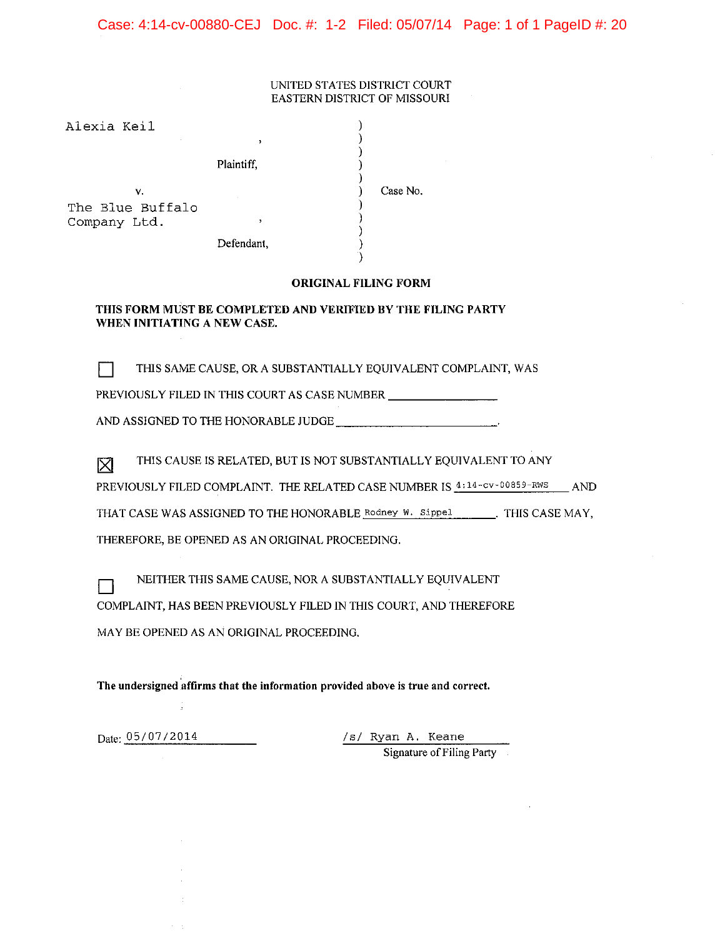#### Case: 4:14-cv-00880-CEJ Doc. #: 1-2 Filed: 05/07/14 Page: 1 of 1 PageID #: 20

#### UNITED STATES DISTRICT COURT EASTERN DISTRICT OF MISSOURI

| Alexia Keil            | ,          |          |
|------------------------|------------|----------|
|                        | Plaintiff, |          |
| ν.<br>The Blue Buffalo |            | Case No. |
| Company Ltd.           | ,          |          |
|                        | Defendant, |          |
|                        |            |          |

#### **ORIGINAL FILING FORM**

#### THIS FORM MUST BE COMPLETED AND VERIFIED BY THE FILING PARTY WHEN INITIATING A NEW CASE.

THIS SAME CAUSE, OR A SUBSTANTIALLY EQUIVALENT COMPLAINT, WAS FТ

PREVIOUSLY FILED IN THIS COURT AS CASE NUMBER \_\_\_\_\_\_\_\_\_\_\_\_\_\_\_\_\_\_\_\_\_\_\_\_\_\_\_\_\_\_\_\_\_\_\_

THIS CAUSE IS RELATED, BUT IS NOT SUBSTANTIALLY EQUIVALENT TO ANY 冈

PREVIOUSLY FILED COMPLAINT. THE RELATED CASE NUMBER IS  $4:14$ -cv-00859-RWS AND

THAT CASE WAS ASSIGNED TO THE HONORABLE Rodney W. Sippel \_\_\_\_\_\_\_. THIS CASE MAY,

THEREFORE, BE OPENED AS AN ORIGINAL PROCEEDING.

NEITHER THIS SAME CAUSE, NOR A SUBSTANTIALLY EQUIVALENT

COMPLAINT, HAS BEEN PREVIOUSLY FILED IN THIS COURT, AND THEREFORE

MAY BE OPENED AS AN ORIGINAL PROCEEDING.

The undersigned affirms that the information provided above is true and correct.

Date: 05/07/2014

 $\Box$ 

/s/ Ryan A. Keane Signature of Filing Party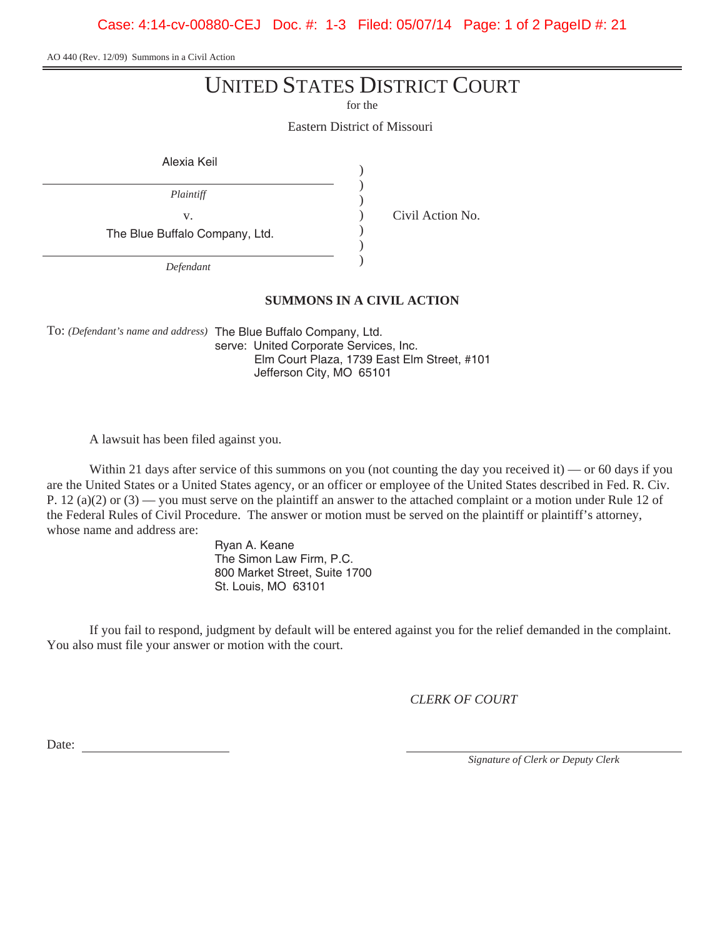Case: 4:14-cv-00880-CEJ Doc. #: 1-3 Filed: 05/07/14 Page: 1 of 2 PageID #: 21

AO 440 (Rev. 12/09) Summons in a Civil Action

# UNITED STATES DISTRICT COURT

for the

Eastern District of Missouri

| Alexia Keil                    |  |
|--------------------------------|--|
| Plaintiff                      |  |
| V.                             |  |
| The Blue Buffalo Company, Ltd. |  |
| $D$ of an <i>dame</i>          |  |

*Defendant*

Civil Action No.

**SUMMONS IN A CIVIL ACTION**

To: *(Defendant's name and address)* The Blue Buffalo Company, Ltd. serve: United Corporate Services, Inc. Elm Court Plaza, 1739 East Elm Street, #101 Jefferson City, MO 65101

A lawsuit has been filed against you.

Within 21 days after service of this summons on you (not counting the day you received it) — or 60 days if you are the United States or a United States agency, or an officer or employee of the United States described in Fed. R. Civ. P. 12 (a)(2) or (3) — you must serve on the plaintiff an answer to the attached complaint or a motion under Rule 12 of the Federal Rules of Civil Procedure. The answer or motion must be served on the plaintiff or plaintiff's attorney, whose name and address are:

> Ryan A. Keane The Simon Law Firm, P.C. 800 Market Street, Suite 1700 St. Louis, MO 63101

If you fail to respond, judgment by default will be entered against you for the relief demanded in the complaint. You also must file your answer or motion with the court.

*CLERK OF COURT*

Date:

*Signature of Clerk or Deputy Clerk*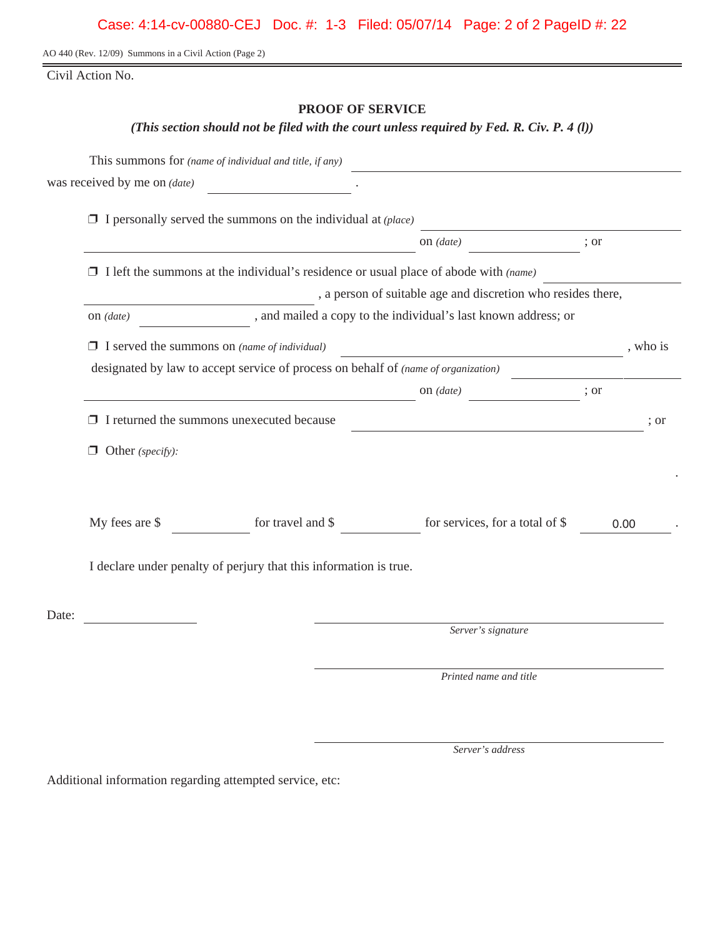Case: 4:14-cv-00880-CEJ Doc. #: 1-3 Filed: 05/07/14 Page: 2 of 2 PageID #: 22

AO 440 (Rev. 12/09) Summons in a Civil Action (Page 2)

Civil Action No.

#### **PROOF OF SERVICE**

*(This section should not be filed with the court unless required by Fed. R. Civ. P. 4 (l))*

|       |                                                     | This summons for (name of individual and title, if any)                                     |                                                                                                                       |      |          |
|-------|-----------------------------------------------------|---------------------------------------------------------------------------------------------|-----------------------------------------------------------------------------------------------------------------------|------|----------|
|       | was received by me on <i>(date)</i>                 |                                                                                             |                                                                                                                       |      |          |
|       |                                                     | $\Box$ I personally served the summons on the individual at ( <i>place</i> )                |                                                                                                                       |      |          |
|       |                                                     |                                                                                             | on (date)                                                                                                             | ; or |          |
|       |                                                     | $\Box$ I left the summons at the individual's residence or usual place of abode with (name) |                                                                                                                       |      |          |
|       |                                                     |                                                                                             | , a person of suitable age and discretion who resides there,                                                          |      |          |
|       | on $(data)$                                         |                                                                                             | , and mailed a copy to the individual's last known address; or                                                        |      |          |
|       | $\Box$ I served the summons on (name of individual) |                                                                                             | <u> 1989 - Johann Barn, mars ann an t-Amhain Aonaich an t-Aonaich an t-Aonaich an t-Aonaich an t-Aonaich an t-Aon</u> |      | , who is |
|       |                                                     | designated by law to accept service of process on behalf of (name of organization)          |                                                                                                                       |      |          |
|       |                                                     |                                                                                             | on (date)                                                                                                             | ; or |          |
|       |                                                     | $\Box$ I returned the summons unexecuted because                                            |                                                                                                                       |      | : or     |
|       | $\Box$ Other (specify):                             |                                                                                             |                                                                                                                       |      |          |
|       | My fees are \$                                      | for travel and \$                                                                           | for services, for a total of \$                                                                                       | 0.00 |          |
|       |                                                     | I declare under penalty of perjury that this information is true.                           |                                                                                                                       |      |          |
| Date: |                                                     |                                                                                             |                                                                                                                       |      |          |
|       |                                                     |                                                                                             | Server's signature                                                                                                    |      |          |
|       |                                                     |                                                                                             | Printed name and title                                                                                                |      |          |
|       |                                                     |                                                                                             |                                                                                                                       |      |          |

*Server's address*

Additional information regarding attempted service, etc: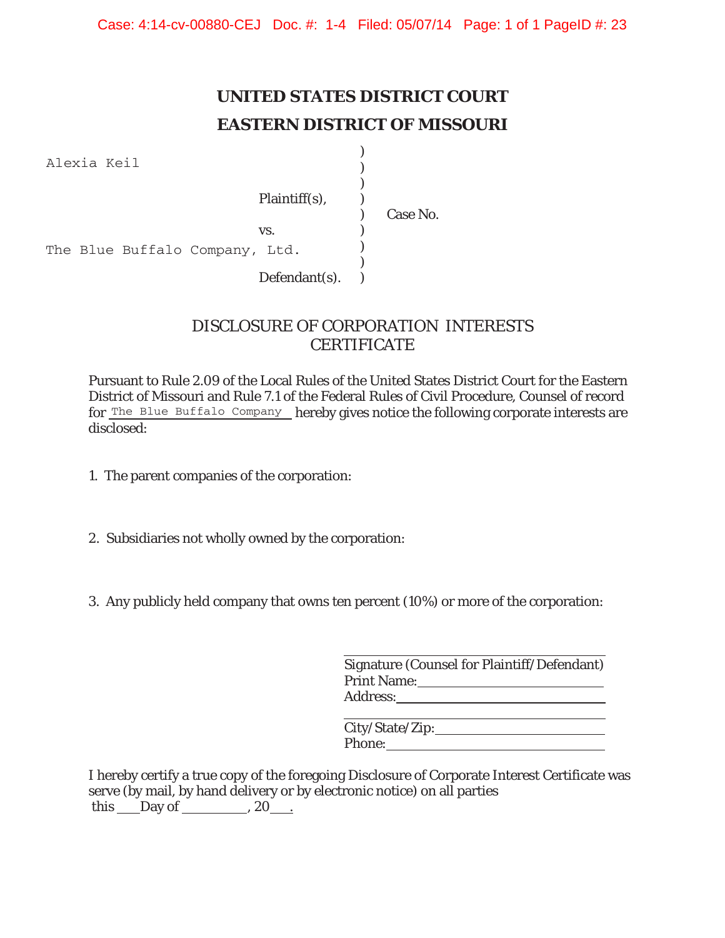# **UNITED STATES DISTRICT COURT EASTERN DISTRICT OF MISSOURI**

)

Alexia Keil

)  $\mathcal{L}$ Plaintiff(s), ) ) Case No.  $\mathbf{v}\mathbf{s}$ .  $\qquad \qquad$  )  $\lambda$  $\lambda$  $Defendant(s)$ .  $)$ The Blue Buffalo Company, Ltd.

# DISCLOSURE OF CORPORATION INTERESTS **CERTIFICATE**

Pursuant to Rule 2.09 of the Local Rules of the United States District Court for the Eastern District of Missouri and Rule 7.1 of the Federal Rules of Civil Procedure, Counsel of record for The Blue Buffalo Company hereby gives notice the following corporate interests are disclosed:

- 1. The parent companies of the corporation:
- 2. Subsidiaries not wholly owned by the corporation:
- 3. Any publicly held company that owns ten percent (10%) or more of the corporation:

| Signature (Counsel for Plaintiff/Defendant) |
|---------------------------------------------|
| <b>Print Name:</b>                          |
| Address:                                    |

<u> 1989 - Johann Barbara, martxa alemaniar a</u> City/State/Zip: Phone:

I hereby certify a true copy of the foregoing Disclosure of Corporate Interest Certificate was serve (by mail, by hand delivery or by electronic notice) on all parties this  $\_\_$  Day of  $\_\_$ , 20 $\_\_$